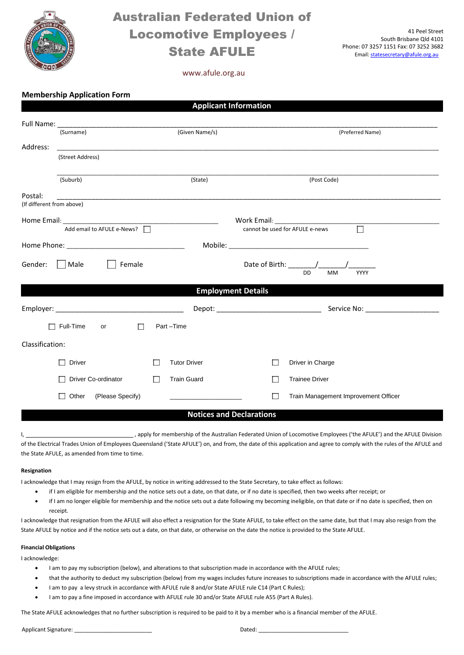

## Australian Federated Union of Locomotive Employees / State AFULE

41 Peel Street South Brisbane Qld 4101 Phone: 07 3257 1151 Fax: 07 3252 3682 Email[: statesecretary@afule.org.au](mailto:statesecretary@afule.org.au)

### www.afule.org.au

|  | <b>Membership Application Form</b> |  |
|--|------------------------------------|--|

|                                      |                                                                                                                       |                     | <b>Applicant Information</b>    |                                                                                                                 |  |  |
|--------------------------------------|-----------------------------------------------------------------------------------------------------------------------|---------------------|---------------------------------|-----------------------------------------------------------------------------------------------------------------|--|--|
|                                      |                                                                                                                       |                     |                                 |                                                                                                                 |  |  |
| (Surname)                            |                                                                                                                       | (Given Name/s)      |                                 | (Preferred Name)                                                                                                |  |  |
| Address:                             | <u> 1990 - Jan James James Jan James James James James James James James James James James James James James Ja</u>   |                     |                                 |                                                                                                                 |  |  |
| (Street Address)                     |                                                                                                                       |                     |                                 |                                                                                                                 |  |  |
| (Suburb)                             |                                                                                                                       | (State)             |                                 | (Post Code)                                                                                                     |  |  |
| Postal:<br>(If different from above) | <u> 1980 - Johann John Stoff, deutscher Stoff, der Stoff, der Stoff, der Stoff, der Stoff, der Stoff, der Stoff, </u> |                     |                                 |                                                                                                                 |  |  |
|                                      |                                                                                                                       |                     |                                 |                                                                                                                 |  |  |
|                                      |                                                                                                                       |                     |                                 | $\overline{\Box}$<br>cannot be used for AFULE e-news                                                            |  |  |
|                                      |                                                                                                                       |                     |                                 |                                                                                                                 |  |  |
| Male<br>Gender:                      | Female                                                                                                                |                     |                                 | Date of Birth: $\frac{1}{2}$ $\frac{1}{2}$ $\frac{1}{2}$ $\frac{1}{2}$ $\frac{1}{2}$<br>DD<br><b>MM</b><br>YYYY |  |  |
|                                      |                                                                                                                       |                     | <b>Employment Details</b>       |                                                                                                                 |  |  |
|                                      |                                                                                                                       |                     |                                 |                                                                                                                 |  |  |
| $\Box$ Full-Time                     | $\Box$<br>or                                                                                                          | Part-Time           |                                 |                                                                                                                 |  |  |
| Classification:                      |                                                                                                                       |                     |                                 |                                                                                                                 |  |  |
| <b>Driver</b><br>$\Box$              |                                                                                                                       | <b>Tutor Driver</b> |                                 | Driver in Charge                                                                                                |  |  |
| Driver Co-ordinator                  | $\mathcal{L}$                                                                                                         | <b>Train Guard</b>  | H                               | <b>Trainee Driver</b>                                                                                           |  |  |
| Other<br>$\Box$                      | (Please Specify)                                                                                                      |                     | $\sim$                          | Train Management Improvement Officer                                                                            |  |  |
|                                      |                                                                                                                       |                     | <b>Notices and Declarations</b> |                                                                                                                 |  |  |

I, 1. Apply for membership of the Australian Federated Union of Locomotive Employees ('the AFULE') and the AFULE Division of the Electrical Trades Union of Employees Queensland ('State AFULE') on, and from, the date of this application and agree to comply with the rules of the AFULE and the State AFULE, as amended from time to time.

#### **Resignation**

I acknowledge that I may resign from the AFULE, by notice in writing addressed to the State Secretary, to take effect as follows:

- if I am eligible for membership and the notice sets out a date, on that date, or if no date is specified, then two weeks after receipt; or
- if I am no longer eligible for membership and the notice sets out a date following my becoming ineligible, on that date or if no date is specified, then on receipt.

I acknowledge that resignation from the AFULE will also effect a resignation for the State AFULE, to take effect on the same date, but that I may also resign from the State AFULE by notice and if the notice sets out a date, on that date, or otherwise on the date the notice is provided to the State AFULE.

#### **Financial Obligations**

I acknowledge:

- I am to pay my subscription (below), and alterations to that subscription made in accordance with the AFULE rules;
- that the authority to deduct my subscription (below) from my wages includes future increases to subscriptions made in accordance with the AFULE rules;
- I am to pay a levy struck in accordance with AFULE rule 8 and/or State AFULE rule C14 (Part C Rules);
- I am to pay a fine imposed in accordance with AFULE rule 30 and/or State AFULE rule A55 (Part A Rules).

The State AFULE acknowledges that no further subscription is required to be paid to it by a member who is a financial member of the AFULE.